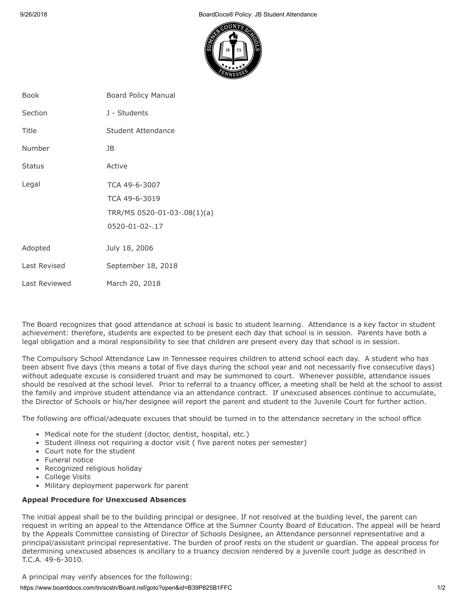9/26/2018 BoardDocs® Policy: JB Student Attendance



| <b>Book</b>   | <b>Board Policy Manual</b>  |
|---------------|-----------------------------|
| Section       | J - Students                |
| Title         | Student Attendance          |
| Number        | JB                          |
| <b>Status</b> | Active                      |
| Legal         | TCA 49-6-3007               |
|               | TCA 49-6-3019               |
|               | TRR/MS 0520-01-03-.08(1)(a) |
|               | 0520-01-02-.17              |
| Adopted       | July 18, 2006               |
| Last Revised  | September 18, 2018          |
| Last Reviewed | March 20, 2018              |

The Board recognizes that good attendance at school is basic to student learning. Attendance is a key factor in student achievement: therefore, students are expected to be present each day that school is in session. Parents have both a legal obligation and a moral responsibility to see that children are present every day that school is in session.

The Compulsory School Attendance Law in Tennessee requires children to attend school each day. A student who has been absent five days (this means a total of five days during the school year and not necessarily five consecutive days) without adequate excuse is considered truant and may be summoned to court. Whenever possible, attendance issues should be resolved at the school level. Prior to referral to a truancy officer, a meeting shall be held at the school to assist the family and improve student attendance via an attendance contract. If unexcused absences continue to accumulate, the Director of Schools or his/her designee will report the parent and student to the Juvenile Court for further action.

The following are official/adequate excuses that should be turned in to the attendance secretary in the school office

- Medical note for the student (doctor, dentist, hospital, etc.)
- Student illness not requiring a doctor visit ( five parent notes per semester)
- Court note for the student
- Funeral notice
- Recognized religious holiday
- College Visits
- Military deployment paperwork for parent

## **Appeal Procedure for Unexcused Absences**

The initial appeal shall be to the building principal or designee. If not resolved at the building level, the parent can request in writing an appeal to the Attendance Office at the Sumner County Board of Education. The appeal will be heard by the Appeals Committee consisting of Director of Schools Designee, an Attendance personnel representative and a principal/assistant principal representative. The burden of proof rests on the student or guardian. The appeal process for determining unexcused absences is ancillary to a truancy decision rendered by a juvenile court judge as described in T.C.A. 49-6-3010.

A principal may verify absences for the following:

https://www.boarddocs.com/tn/scstn/Board.nsf/goto?open&id=B39P825B1FFC 1/2